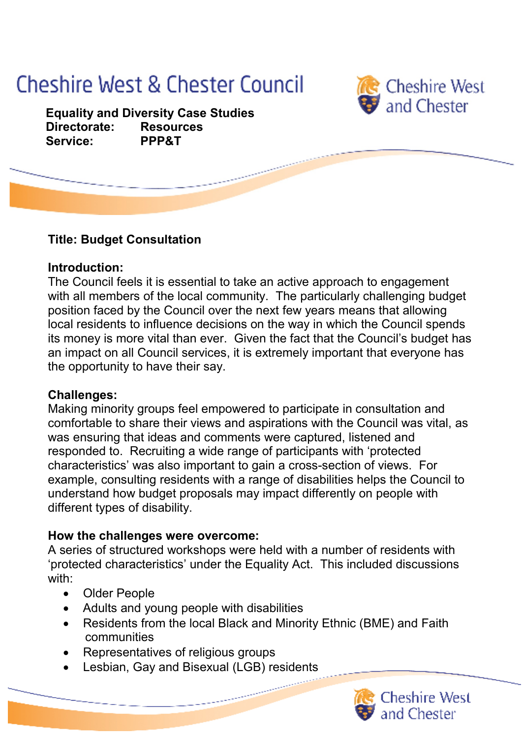# **Cheshire West & Chester Council**



  **Equality and Diversity Case Studies Directorate: Resources Service: PPP&T**

## **Title: Budget Consultation**

#### **Introduction:**

 The Council feels it is essential to take an active approach to engagement with all members of the local community. The particularly challenging budget position faced by the Council over the next few years means that allowing local residents to influence decisions on the way in which the Council spends its money is more vital than ever. Given the fact that the Council's budget has an impact on all Council services, it is extremely important that everyone has the opportunity to have their say.

### **Challenges:**

 Making minority groups feel empowered to participate in consultation and comfortable to share their views and aspirations with the Council was vital, as was ensuring that ideas and comments were captured, listened and responded to. Recruiting a wide range of participants with 'protected characteristics' was also important to gain a cross-section of views. For example, consulting residents with a range of disabilities helps the Council to understand how budget proposals may impact differently on people with different types of disability.

### **How the challenges were overcome:**

 A series of structured workshops were held with a number of residents with 'protected characteristics' under the Equality Act. This included discussions with:

- • Older People
- • Adults and young people with disabilities
- • Residents from the local Black and Minority Ethnic (BME) and Faith communities
- • Representatives of religious groups
- Lesbian, Gay and Bisexual (LGB) residents